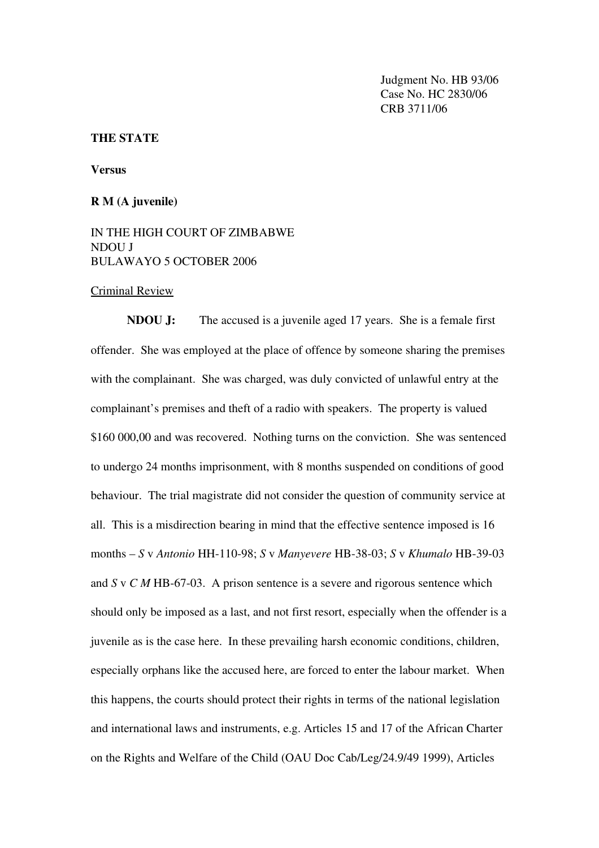Judgment No. HB 93/06 Case No. HC 2830/06 CRB 3711/06

## THE STATE

Versus

## R M (A juvenile)

## IN THE HIGH COURT OF ZIMBABWE NDOU J BULAWAYO 5 OCTOBER 2006

## Criminal Review

NDOU J: The accused is a juvenile aged 17 years. She is a female first offender. She was employed at the place of offence by someone sharing the premises with the complainant. She was charged, was duly convicted of unlawful entry at the complainant's premises and theft of a radio with speakers. The property is valued \$160 000,00 and was recovered. Nothing turns on the conviction. She was sentenced to undergo 24 months imprisonment, with 8 months suspended on conditions of good behaviour. The trial magistrate did not consider the question of community service at all. This is a misdirection bearing in mind that the effective sentence imposed is 16 months – *S* v *Antonio* HH-110-98; *S* v *Manyevere* HB-38-03; *S* v *Khumalo* HB-39-03 and  $S \vee C M$  HB-67-03. A prison sentence is a severe and rigorous sentence which should only be imposed as a last, and not first resort, especially when the offender is a juvenile as is the case here. In these prevailing harsh economic conditions, children, especially orphans like the accused here, are forced to enter the labour market. When this happens, the courts should protect their rights in terms of the national legislation and international laws and instruments, e.g. Articles 15 and 17 of the African Charter on the Rights and Welfare of the Child (OAU Doc Cab/Leg/24.9/49 1999), Articles